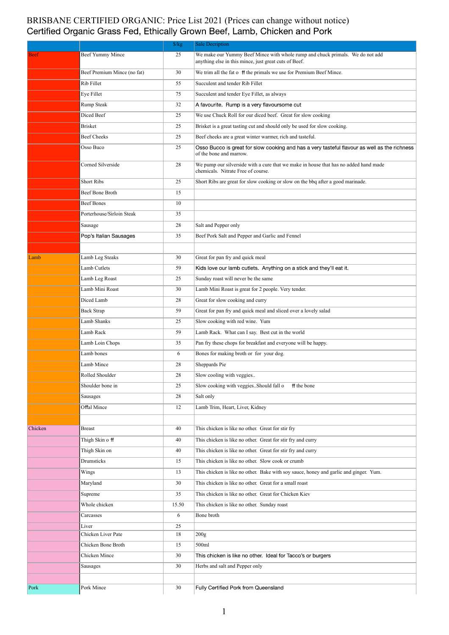## BRISBANE CERTIFIED ORGANIC: Price List 2021 (Prices can change without notice)<br>Certified Organic Grass Fed, Ethically Grown Beef, Lamb, Chicken and Pork

|             |                             | $\frac{g}{kg}$ | <b>Sale Decription</b>                                                                                                                 |
|-------------|-----------------------------|----------------|----------------------------------------------------------------------------------------------------------------------------------------|
| <b>Beef</b> | Beef Yummy Mince            | 25             | We make our Yummy Beef Mince with whole rump and chuck primals. We do not add<br>anything else in this mince, just great cuts of Beef. |
|             | Beef Premium Mince (no fat) | 30             | We trim all the fat o ff the primals we use for Premium Beef Mince.                                                                    |
|             | Rib Fillet                  | 55             | Succulent and tender Rib Fillet                                                                                                        |
|             | Eye Fillet                  | 75             | Succulent and tender Eye Fillet, as always                                                                                             |
|             | Rump Steak                  | 32             | A favourite. Rump is a very flavoursome cut                                                                                            |
|             | Diced Beef                  | 25             | We use Chuck Roll for our diced beef. Great for slow cooking                                                                           |
|             | <b>Brisket</b>              | 25             | Brisket is a great tasting cut and should only be used for slow cooking.                                                               |
|             | <b>Beef Cheeks</b>          | 25             | Beef cheeks are a great winter warmer, rich and tasteful.                                                                              |
|             | Osso Buco                   | 25             | Osso Bucco is great for slow cooking and has a very tasteful flavour as well as the richness<br>of the bone and marrow.                |
|             | Corned Silverside           | 28             | We pump our silverside with a cure that we make in house that has no added hand made<br>chemicals. Nitrate Free of course.             |
|             | <b>Short Ribs</b>           | 25             | Short Ribs are great for slow cooking or slow on the bbq after a good marinade.                                                        |
|             | Beef Bone Broth             | 15             |                                                                                                                                        |
|             | <b>Beef Bones</b>           | 10             |                                                                                                                                        |
|             | Porterhouse/Sirloin Steak   | 35             |                                                                                                                                        |
|             | Sausage                     | 28             | Salt and Pepper only                                                                                                                   |
|             | Pop's Italian Sausages      | 35             | Beef Pork Salt and Pepper and Garlic and Fennel                                                                                        |
|             |                             |                |                                                                                                                                        |
| Lamb        | Lamb Leg Steaks             | 30             | Great for pan fry and quick meal                                                                                                       |
|             | Lamb Cutlets                | 59             | Kids love our lamb cutlets. Anything on a stick and they'll eat it.                                                                    |
|             | Lamb Leg Roast              | 25             | Sunday roast will never be the same                                                                                                    |
|             | Lamb Mini Roast             | 30             | Lamb Mini Roast is great for 2 people. Very tender.                                                                                    |
|             | Diced Lamb                  | 28             | Great for slow cooking and curry                                                                                                       |
|             | <b>Back Strap</b>           | 59             | Great for pan fry and quick meal and sliced over a lovely salad                                                                        |
|             | Lamb Shanks                 | 25             | Slow cooking with red wine. Yum                                                                                                        |
|             | Lamb Rack                   | 59             | Lamb Rack. What can I say. Best cut in the world                                                                                       |
|             | Lamb Loin Chops             | 35             | Pan fry these chops for breakfast and everyone will be happy.                                                                          |
|             | Lamb bones                  | 6              | Bones for making broth or for your dog.                                                                                                |
|             | Lamb Mince                  | 28             | Sheppards Pie                                                                                                                          |
|             | Rolled Shoulder             | 28             | Slow cooling with veggies                                                                                                              |
|             | Shoulder bone in            | 25             | Slow cooking with veggies. Should fall o<br>ff the bone                                                                                |
|             | Sausages                    | 28             | Salt only                                                                                                                              |
|             | Offal Mince                 | 12             | Lamb Trim, Heart, Liver, Kidney                                                                                                        |
|             |                             |                |                                                                                                                                        |
| Chicken     | <b>Breast</b>               | 40             | This chicken is like no other. Great for stir fry                                                                                      |
|             | Thigh Skin off              | 40             | This chicken is like no other. Great for stir fry and curry                                                                            |
|             | Thigh Skin on               | 40             | This chicken is like no other. Great for stir fry and curry                                                                            |
|             | Drumsticks                  | 15             | This chicken is like no other. Slow cook or crumb                                                                                      |
|             | Wings                       | 13             | This chicken is like no other. Bake with soy sauce, honey and garlic and ginger. Yum.                                                  |
|             | Maryland                    | 30             | This chicken is like no other. Great for a small roast                                                                                 |
|             | Supreme                     | 35             | This chicken is like no other. Great for Chicken Kiev                                                                                  |
|             | Whole chicken               | 15.50          | This chicken is like no other. Sunday roast                                                                                            |
|             | Carcasses                   | 6              | Bone broth                                                                                                                             |
|             | Liver                       | 25             |                                                                                                                                        |
|             | Chicken Liver Pate          | 18             | 200 <sub>g</sub>                                                                                                                       |
|             | Chicken Bone Broth          | 15             | 500ml                                                                                                                                  |
|             | Chicken Mince               | 30             | This chicken is like no other. Ideal for Tacco's or burgers                                                                            |
|             | Sausages                    | 30             | Herbs and salt and Pepper only                                                                                                         |
|             |                             |                |                                                                                                                                        |
| Pork        | Pork Mince                  | 30             | Fully Certified Pork from Queensland                                                                                                   |